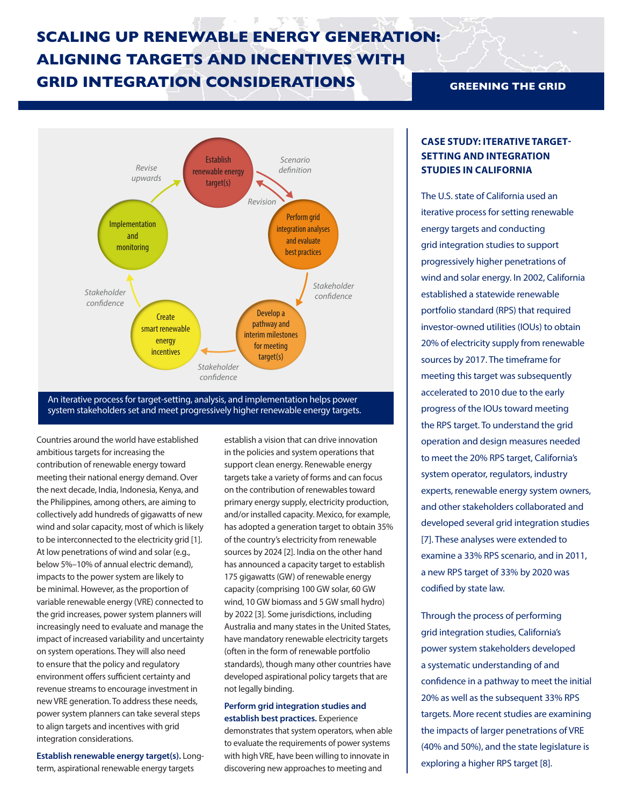# **SCALING UP RENEWABLE ENERGY GENERATION: ALIGNING TARGETS AND INCENTIVES WITH GRID INTEGRATION CONSIDERATIONS GREENING THE GRID**



An iterative process for target-setting, analysis, and implementation helps power system stakeholders set and meet progressively higher renewable energy targets.

Countries around the world have established ambitious targets for increasing the contribution of renewable energy toward meeting their national energy demand. Over the next decade, India, Indonesia, Kenya, and the Philippines, among others, are aiming to collectively add hundreds of gigawatts of new wind and solar capacity, most of which is likely to be interconnected to the electricity grid [1]. At low penetrations of wind and solar (e.g., below 5%–10% of annual electric demand), impacts to the power system are likely to be minimal. However, as the proportion of variable renewable energy (VRE) connected to the grid increases, power system planners will increasingly need to evaluate and manage the impact of increased variability and uncertainty on system operations. They will also need to ensure that the policy and regulatory environment offers sufficient certainty and revenue streams to encourage investment in new VRE generation. To address these needs, power system planners can take several steps to align targets and incentives with grid integration considerations.

**Establish renewable energy target(s).** Longterm, aspirational renewable energy targets

establish a vision that can drive innovation in the policies and system operations that support clean energy. Renewable energy targets take a variety of forms and can focus on the contribution of renewables toward primary energy supply, electricity production, and/or installed capacity. Mexico, for example, has adopted a generation target to obtain 35% of the country's electricity from renewable sources by 2024 [2]. India on the other hand has announced a capacity target to establish 175 gigawatts (GW) of renewable energy capacity (comprising 100 GW solar, 60 GW wind, 10 GW biomass and 5 GW small hydro) by 2022 [3]. Some jurisdictions, including Australia and many states in the United States, have mandatory renewable electricity targets (often in the form of renewable portfolio standards), though many other countries have developed aspirational policy targets that are not legally binding.

#### **Perform grid integration studies and establish best practices.** Experience

demonstrates that system operators, when able to evaluate the requirements of power systems with high VRE, have been willing to innovate in discovering new approaches to meeting and

## **CASE STUDY: ITERATIVE TARGET-SETTING AND INTEGRATION STUDIES IN CALIFORNIA**

The U.S. state of California used an iterative process for setting renewable energy targets and conducting grid integration studies to support progressively higher penetrations of wind and solar energy. In 2002, California established a statewide renewable portfolio standard (RPS) that required investor-owned utilities (IOUs) to obtain 20% of electricity supply from renewable sources by 2017. The timeframe for meeting this target was subsequently accelerated to 2010 due to the early progress of the IOUs toward meeting the RPS target. To understand the grid operation and design measures needed to meet the 20% RPS target, California's system operator, regulators, industry experts, renewable energy system owners, and other stakeholders collaborated and developed several grid integration studies [7]. These analyses were extended to examine a 33% RPS scenario, and in 2011, a new RPS target of 33% by 2020 was codified by state law.

Through the process of performing grid integration studies, California's power system stakeholders developed a systematic understanding of and confidence in a pathway to meet the initial 20% as well as the subsequent 33% RPS targets. More recent studies are examining the impacts of larger penetrations of VRE (40% and 50%), and the state legislature is exploring a higher RPS target [8].